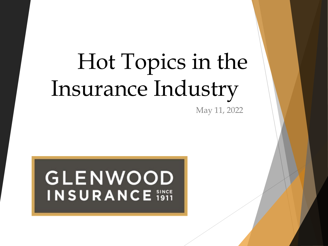# Hot Topics in the Insurance Industry

May 11, 2022

# **GLENWOOD INSURANCE** i911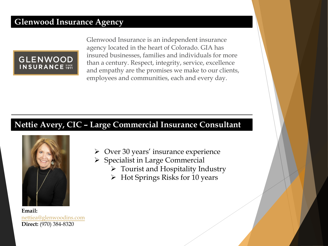### **Glenwood Insurance Agency**



Glenwood Insurance is an independent insurance agency located in the heart of Colorado. GIA has insured businesses, families and individuals for more than a century. Respect, integrity, service, excellence and empathy are the promises we make to our clients, employees and communities, each and every day.

### **Nettie Avery, CIC – Large Commercial Insurance Consultant**



**Email:** nettiea@glenwoodins.com **Direct:** (970) 384-8320

- $\triangleright$  Over 30 years' insurance experience
- $\triangleright$  Specialist in Large Commercial
	- $\triangleright$  Tourist and Hospitality Industry
	- Ø Hot Springs Risks for 10 years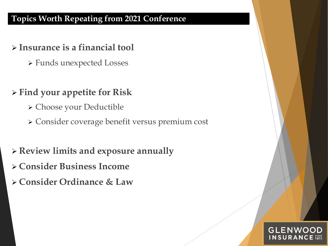### **Topics Worth Repeating from 2021 Conference**

### Ø **Insurance is a financial tool**

Ø Funds unexpected Losses

## Ø **Find your appetite for Risk**

- Ø Choose your Deductible
- Ø Consider coverage benefit versus premium cost

# Ø **Review limits and exposure annually**

- Ø **Consider Business Income**
- Ø **Consider Ordinance & Law**

# GLENWO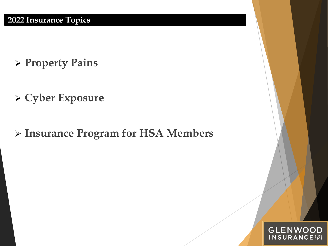- Ø **Property Pains**
- Ø **Cyber Exposure**
- Ø **Insurance Program for HSA Members**

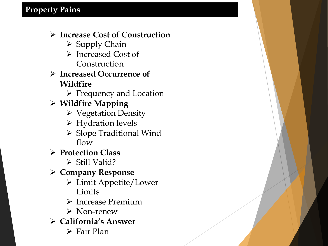### Ø **Increase Cost of Construction**

- $\triangleright$  Supply Chain
- Ø Increased Cost of Construction

### Ø **Increased Occurrence of Wildfire**

- $\triangleright$  Frequency and Location
- Ø **Wildfire Mapping**
	- Ø Vegetation Density
	- Ø Hydration levels
	- Ø Slope Traditional Wind flow
- Ø **Protection Class** 
	- $\triangleright$  Still Valid?

Ø **Company Response**

- Ø Limit Appetite/Lower Limits
- Ø Increase Premium
- $\triangleright$  Non-renew
- Ø **California's Answer**
	- $\triangleright$  Fair Plan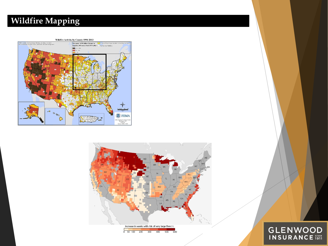### **Wildfire Mapping**





# **GLENWOOD**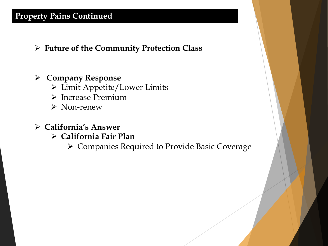### **Property Pains Continued**

Ø **Future of the Community Protection Class**

### Ø **Company Response**

- Ø Limit Appetite/Lower Limits
- Ø Increase Premium
- $\triangleright$  Non-renew
- Ø **California's Answer**
	- Ø **California Fair Plan**
		- Ø Companies Required to Provide Basic Coverage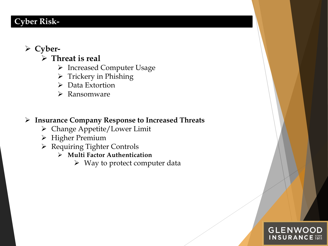### **Cyber Risk-**

### Ø **Cyber-**

- Ø **Threat is real** 
	- Ø Increased Computer Usage
	- $\triangleright$  Trickery in Phishing
	- $\triangleright$  Data Extortion
	- $\triangleright$  Ransomware

#### Ø **Insurance Company Response to Increased Threats**

- Ø Change Appetite/Lower Limit
- Ø Higher Premium
- Ø Requiring Tighter Controls
	- Ø **Multi Factor Authentication**
		- $\triangleright$  Way to protect computer data

#### **GLENWOOD INSURANCE i911**